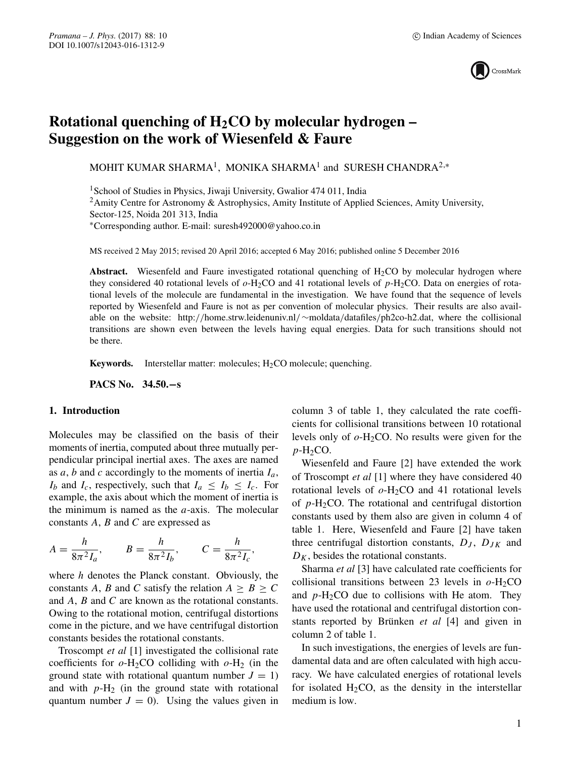

# **Rotational quenching of H2CO by molecular hydrogen – Suggestion on the work of Wiesenfeld & Faure**

MOHIT KUMAR SHARMA<sup>1</sup>, MONIKA SHARMA<sup>1</sup> and SURESH CHANDRA<sup>2,∗</sup>

<sup>1</sup> School of Studies in Physics, Jiwaji University, Gwalior 474 011, India

<sup>2</sup>Amity Centre for Astronomy & Astrophysics, Amity Institute of Applied Sciences, Amity University,

Sector-125, Noida 201 313, India

∗Corresponding author. E-mail: suresh492000@yahoo.co.in

MS received 2 May 2015; revised 20 April 2016; accepted 6 May 2016; published online 5 December 2016

Abstract. Wiesenfeld and Faure investigated rotational quenching of H<sub>2</sub>CO by molecular hydrogen where they considered 40 rotational levels of  $o$ -H<sub>2</sub>CO and 41 rotational levels of  $p$ -H<sub>2</sub>CO. Data on energies of rotational levels of the molecule are fundamental in the investigation. We have found that the sequence of levels reported by Wiesenfeld and Faure is not as per convention of molecular physics. Their results are also available on the website: http://home.strw.leidenuniv.nl/∼moldata/datafiles/ph2co-h2.dat, where the collisional transitions are shown even between the levels having equal energies. Data for such transitions should not be there.

**Keywords.** Interstellar matter: molecules;  $H_2CO$  molecule; quenching.

**PACS No. 34.50.−s**

## **1. Introduction**

Molecules may be classified on the basis of their moments of inertia, computed about three mutually perpendicular principal inertial axes. The axes are named as a, b and c accordingly to the moments of inertia  $I_a$ ,  $I_b$  and  $I_c$ , respectively, such that  $I_a \leq I_b \leq I_c$ . For example, the axis about which the moment of inertia is the minimum is named as the  $a$ -axis. The molecular constants  $A$ ,  $B$  and  $C$  are expressed as

$$
A = \frac{h}{8\pi^2 I_a}
$$
,  $B = \frac{h}{8\pi^2 I_b}$ ,  $C = \frac{h}{8\pi^2 I_c}$ ,

where h denotes the Planck constant. Obviously, the constants A, B and C satisfy the relation  $A \geq B \geq C$ and A, B and C are known as the rotational constants. Owing to the rotational motion, centrifugal distortions come in the picture, and we have centrifugal distortion constants besides the rotational constants.

Troscompt *et al* [1] investigated the collisional rate coefficients for  $o-H_2CO$  colliding with  $o-H_2$  (in the ground state with rotational quantum number  $J = 1$ ) and with  $p-H_2$  (in the ground state with rotational quantum number  $J = 0$ ). Using the values given in column 3 of table 1, they calculated the rate coefficients for collisional transitions between 10 rotational levels only of  $o$ -H<sub>2</sub>CO. No results were given for the  $p$ -H<sub>2</sub>CO.

Wiesenfeld and Faure [2] have extended the work of Troscompt *et al* [1] where they have considered 40 rotational levels of  $o$ -H<sub>2</sub>CO and 41 rotational levels of  $p$ -H<sub>2</sub>CO. The rotational and centrifugal distortion constants used by them also are given in column 4 of table 1. Here, Wiesenfeld and Faure [2] have taken three centrifugal distortion constants,  $D_J$ ,  $D_{JK}$  and  $D_K$ , besides the rotational constants.

Sharma *et al* [3] have calculated rate coefficients for collisional transitions between 23 levels in  $o$ -H<sub>2</sub>CO and  $p-H_2CO$  due to collisions with He atom. They have used the rotational and centrifugal distortion constants reported by Brünken *et al* [4] and given in column 2 of table 1.

In such investigations, the energies of levels are fundamental data and are often calculated with high accuracy. We have calculated energies of rotational levels for isolated  $H_2CO$ , as the density in the interstellar medium is low.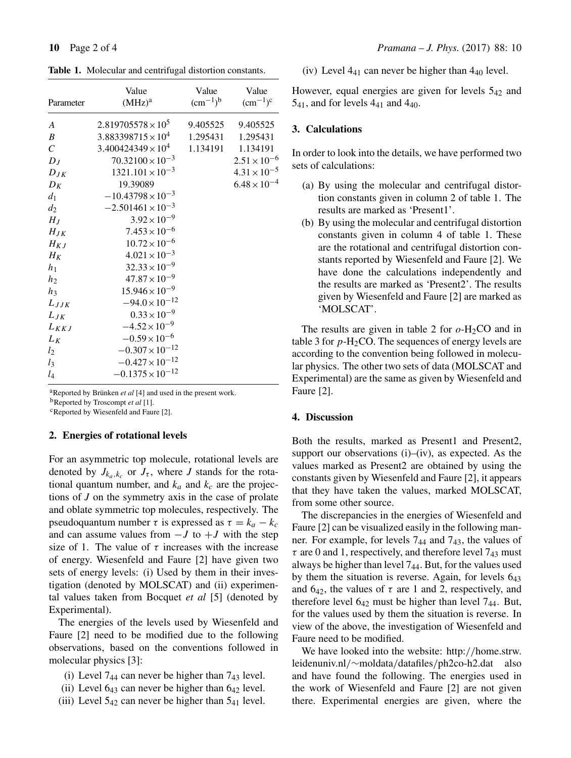**Table 1.** Molecular and centrifugal distortion constants.

| Parameter               | Value<br>$(MHz)^a$          | Value<br>$(cm^{-1})^b$ | Value<br>$(cm^{-1})^c$ |
|-------------------------|-----------------------------|------------------------|------------------------|
| A                       | $2.819705578 \times 10^5$   | 9.405525               | 9.405525               |
| $\boldsymbol{B}$        | $3.883398715 \times 10^4$   | 1.295431               | 1.295431               |
| $\mathcal{C}_{0}^{(n)}$ | $3.400424349 \times 10^{4}$ | 1.134191               | 1.134191               |
| $D_J$                   | $70.32100 \times 10^{-3}$   |                        | $2.51 \times 10^{-6}$  |
| $D_{JK}$                | $1321.101 \times 10^{-3}$   |                        | $4.31 \times 10^{-5}$  |
| $D_K$                   | 19.39089                    |                        | $6.48 \times 10^{-4}$  |
| $d_1$                   | $-10.43798 \times 10^{-3}$  |                        |                        |
| $d_2$                   | $-2.501461 \times 10^{-3}$  |                        |                        |
| $H_J$                   | $3.92 \times 10^{-9}$       |                        |                        |
| $H_{JK}$                | $7.453 \times 10^{-6}$      |                        |                        |
| $H_{KJ}$                | $10.72 \times 10^{-6}$      |                        |                        |
| $H_K$                   | $4.021 \times 10^{-3}$      |                        |                        |
| $h_1$                   | $32.33 \times 10^{-9}$      |                        |                        |
| h <sub>2</sub>          | $47.87 \times 10^{-9}$      |                        |                        |
| $h_3$                   | $15.946 \times 10^{-9}$     |                        |                        |
| $L_{JJK}$               | $-94.0 \times 10^{-12}$     |                        |                        |
| $L_{JK}$                | $0.33 \times 10^{-9}$       |                        |                        |
| $L_{KKJ}$               | $-4.52 \times 10^{-9}$      |                        |                        |
| $L_K$                   | $-0.59 \times 10^{-6}$      |                        |                        |
| $l_2$                   | $-0.307 \times 10^{-12}$    |                        |                        |
| $l_3$                   | $-0.427 \times 10^{-12}$    |                        |                        |
| $l_4$                   | $-0.1375 \times 10^{-12}$   |                        |                        |

<sup>a</sup>Reported by Brünken *et al* [4] and used in the present work. bReported by Troscompt *et al* [1].

<sup>c</sup>Reported by Wiesenfeld and Faure [2].

## **2. Energies of rotational levels**

For an asymmetric top molecule, rotational levels are denoted by  $J_{k_a,k_c}$  or  $J_{\tau}$ , where *J* stands for the rotational quantum number, and  $k_a$  and  $k_c$  are the projections of *J* on the symmetry axis in the case of prolate and oblate symmetric top molecules, respectively. The pseudoquantum number  $\tau$  is expressed as  $\tau = k_a - k_c$ and can assume values from  $-J$  to  $+J$  with the step size of 1. The value of  $\tau$  increases with the increase of energy. Wiesenfeld and Faure [2] have given two sets of energy levels: (i) Used by them in their investigation (denoted by MOLSCAT) and (ii) experimental values taken from Bocquet *et al* [5] (denoted by Experimental).

The energies of the levels used by Wiesenfeld and Faure [2] need to be modified due to the following observations, based on the conventions followed in molecular physics [3]:

- (i) Level  $7_{44}$  can never be higher than  $7_{43}$  level.
- (ii) Level  $6_{43}$  can never be higher than  $6_{42}$  level.
- (iii) Level  $5_{42}$  can never be higher than  $5_{41}$  level.

(iv) Level  $4_{41}$  can never be higher than  $4_{40}$  level.

However, equal energies are given for levels 542 and  $5_{41}$ , and for levels  $4_{41}$  and  $4_{40}$ .

# **3. Calculations**

In order to look into the details, we have performed two sets of calculations:

- (a) By using the molecular and centrifugal distortion constants given in column 2 of table 1. The results are marked as 'Present1'.
- (b) By using the molecular and centrifugal distortion constants given in column 4 of table 1. These are the rotational and centrifugal distortion constants reported by Wiesenfeld and Faure [2]. We have done the calculations independently and the results are marked as 'Present2'. The results given by Wiesenfeld and Faure [2] are marked as 'MOLSCAT'.

The results are given in table 2 for  $o$ -H<sub>2</sub>CO and in table 3 for  $p$ -H<sub>2</sub>CO. The sequences of energy levels are according to the convention being followed in molecular physics. The other two sets of data (MOLSCAT and Experimental) are the same as given by Wiesenfeld and Faure [2].

# **4. Discussion**

Both the results, marked as Present1 and Present2, support our observations  $(i)$ – $(iv)$ , as expected. As the values marked as Present2 are obtained by using the constants given by Wiesenfeld and Faure [2], it appears that they have taken the values, marked MOLSCAT, from some other source.

The discrepancies in the energies of Wiesenfeld and Faure [2] can be visualized easily in the following manner. For example, for levels 744 and 743, the values of  $\tau$  are 0 and 1, respectively, and therefore level  $7_{43}$  must always be higher than level  $7<sub>44</sub>$ . But, for the values used by them the situation is reverse. Again, for levels 643 and  $6_{42}$ , the values of  $\tau$  are 1 and 2, respectively, and therefore level 642 must be higher than level 744. But, for the values used by them the situation is reverse. In view of the above, the investigation of Wiesenfeld and Faure need to be modified.

We have looked into the website: http://home.strw. leidenuniv.nl/∼moldata/datafiles/ph2co-h2.dat also and have found the following. The energies used in the work of Wiesenfeld and Faure [2] are not given there. Experimental energies are given, where the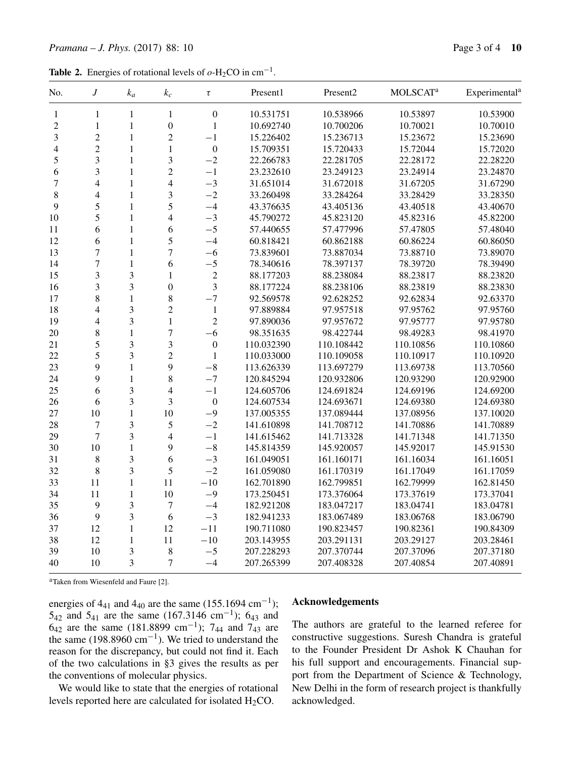**Table 2.** Energies of rotational levels of  $o$ -H<sub>2</sub>CO in cm<sup>-1</sup>.

| No.            | $\boldsymbol{J}$ | $k_a$          | $k_c$                    | $\tau$           | Present1   | Present2   | <b>MOLSCATa</b> | Experimental <sup>a</sup> |
|----------------|------------------|----------------|--------------------------|------------------|------------|------------|-----------------|---------------------------|
| 1              | $\mathbf{1}$     | $\mathbf{1}$   | $\mathbf{1}$             | $\boldsymbol{0}$ | 10.531751  | 10.538966  | 10.53897        | 10.53900                  |
| $\overline{2}$ | $\mathbf{1}$     | $\mathbf{1}$   | $\boldsymbol{0}$         | $\mathbf{1}$     | 10.692740  | 10.700206  | 10.70021        | 10.70010                  |
| 3              | $\overline{2}$   | $\mathbf{1}$   | $\overline{2}$           | $-1$             | 15.226402  | 15.236713  | 15.23672        | 15.23690                  |
| $\overline{4}$ | $\overline{2}$   | $\mathbf{1}$   | $\mathbf{1}$             | $\overline{0}$   | 15.709351  | 15.720433  | 15.72044        | 15.72020                  |
| 5              | 3                | $\mathbf{1}$   | 3                        | $-2$             | 22.266783  | 22.281705  | 22.28172        | 22.28220                  |
| 6              | 3                | $\mathbf{1}$   | $\overline{2}$           | $-1$             | 23.232610  | 23.249123  | 23.24914        | 23.24870                  |
| 7              | $\overline{4}$   | $\mathbf{1}$   | $\overline{4}$           | $-3$             | 31.651014  | 31.672018  | 31.67205        | 31.67290                  |
| 8              | $\overline{4}$   | $\mathbf{1}$   | 3                        | $-2$             | 33.260498  | 33.284264  | 33.28429        | 33.28350                  |
| 9              | 5                | $\mathbf{1}$   | 5                        | $-4$             | 43.376635  | 43.405136  | 43.40518        | 43.40670                  |
| 10             | 5                | $\mathbf{1}$   | $\overline{4}$           | $-3$             | 45.790272  | 45.823120  | 45.82316        | 45.82200                  |
| 11             | 6                | $\mathbf{1}$   | 6                        | $-5$             | 57.440655  | 57.477996  | 57.47805        | 57.48040                  |
| 12             | 6                | $\mathbf{1}$   | 5                        | $-4$             | 60.818421  | 60.862188  | 60.86224        | 60.86050                  |
| 13             | $\overline{7}$   | $\mathbf{1}$   | $\tau$                   | $-6$             | 73.839601  | 73.887034  | 73.88710        | 73.89070                  |
| 14             | $\overline{7}$   | $\mathbf{1}$   | 6                        | $-5$             | 78.340616  | 78.397137  | 78.39720        | 78.39490                  |
| 15             | 3                | 3              | $\mathbf{1}$             | $\overline{2}$   | 88.177203  | 88.238084  | 88.23817        | 88.23820                  |
| 16             | 3                | 3              | $\overline{0}$           | 3                | 88.177224  | 88.238106  | 88.23819        | 88.23830                  |
| 17             | 8                | $\mathbf{1}$   | 8                        | $-7$             | 92.569578  | 92.628252  | 92.62834        | 92.63370                  |
| 18             | $\overline{4}$   | 3              | $\overline{c}$           | $\mathbf{1}$     | 97.889884  | 97.957518  | 97.95762        | 97.95760                  |
| 19             | $\overline{4}$   | 3              | $\mathbf{1}$             | $\overline{2}$   | 97.890036  | 97.957672  | 97.95777        | 97.95780                  |
| 20             | 8                | $\mathbf{1}$   | $\overline{7}$           | $-6$             | 98.351635  | 98.422744  | 98.49283        | 98.41970                  |
| 21             | 5                | 3              | 3                        | $\boldsymbol{0}$ | 110.032390 | 110.108442 | 110.10856       | 110.10860                 |
| 22             | 5                | 3              | $\overline{c}$           | $\mathbf{1}$     | 110.033000 | 110.109058 | 110.10917       | 110.10920                 |
| 23             | 9                | $\mathbf{1}$   | 9                        | $-8$             | 113.626339 | 113.697279 | 113.69738       | 113.70560                 |
| 24             | 9                | $\mathbf{1}$   | 8                        | $-7$             | 120.845294 | 120.932806 | 120.93290       | 120.92900                 |
| 25             | 6                | 3              | $\overline{\mathcal{L}}$ | $-1$             | 124.605706 | 124.691824 | 124.69196       | 124.69200                 |
| 26             | 6                | 3              | 3                        | $\boldsymbol{0}$ | 124.607534 | 124.693671 | 124.69380       | 124.69380                 |
| 27             | 10               | $\mathbf{1}$   | 10                       | $-9$             | 137.005355 | 137.089444 | 137.08956       | 137.10020                 |
| 28             | $\tau$           | 3              | 5                        | $-2$             | 141.610898 | 141.708712 | 141.70886       | 141.70889                 |
| 29             | $\tau$           | 3              | $\overline{\mathcal{L}}$ | $-1$             | 141.615462 | 141.713328 | 141.71348       | 141.71350                 |
| 30             | 10               | $\mathbf{1}$   | 9                        | $-8$             | 145.814359 | 145.920057 | 145.92017       | 145.91530                 |
| 31             | $\,8\,$          | 3              | 6                        | $-3$             | 161.049051 | 161.160171 | 161.16034       | 161.16051                 |
| 32             | $\,8\,$          | 3              | 5                        | $-2$             | 161.059080 | 161.170319 | 161.17049       | 161.17059                 |
| 33             | 11               | $\mathbf{1}$   | 11                       | $-10$            | 162.701890 | 162.799851 | 162.79999       | 162.81450                 |
| 34             | 11               | $\mathbf{1}$   | 10                       | $-9$             | 173.250451 | 173.376064 | 173.37619       | 173.37041                 |
| 35             | 9                | 3              | $\tau$                   | $-4$             | 182.921208 | 183.047217 | 183.04741       | 183.04781                 |
| 36             | 9                | 3              | 6                        | $-3$             | 182.941233 | 183.067489 | 183.06768       | 183.06790                 |
| 37             | 12               | $\mathbf{1}$   | 12                       | $-11$            | 190.711080 | 190.823457 | 190.82361       | 190.84309                 |
| 38             | 12               | $\mathbf{1}$   | 11                       | $-10$            | 203.143955 | 203.291131 | 203.29127       | 203.28461                 |
| 39             | 10               | 3              | 8                        | $-5$             | 207.228293 | 207.370744 | 207.37096       | 207.37180                 |
| 40             | 10               | $\overline{3}$ | $\overline{7}$           | $-4$             | 207.265399 | 207.408328 | 207.40854       | 207.40891                 |

aTaken from Wiesenfeld and Faure [2].

energies of 4<sub>41</sub> and 4<sub>40</sub> are the same (155.1694 cm<sup>-1</sup>);  $5_{42}$  and  $5_{41}$  are the same (167.3146 cm<sup>-1</sup>); 6<sub>43</sub> and 6<sub>42</sub> are the same (181.8899 cm<sup>-1</sup>); 7<sub>44</sub> and 7<sub>43</sub> are the same (198.8960 cm<sup>-1</sup>). We tried to understand the reason for the discrepancy, but could not find it. Each of the two calculations in §3 gives the results as per the conventions of molecular physics.

We would like to state that the energies of rotational levels reported here are calculated for isolated  $H_2CO$ .

### **Acknowledgements**

The authors are grateful to the learned referee for constructive suggestions. Suresh Chandra is grateful to the Founder President Dr Ashok K Chauhan for his full support and encouragements. Financial support from the Department of Science & Technology, New Delhi in the form of research project is thankfully acknowledged.